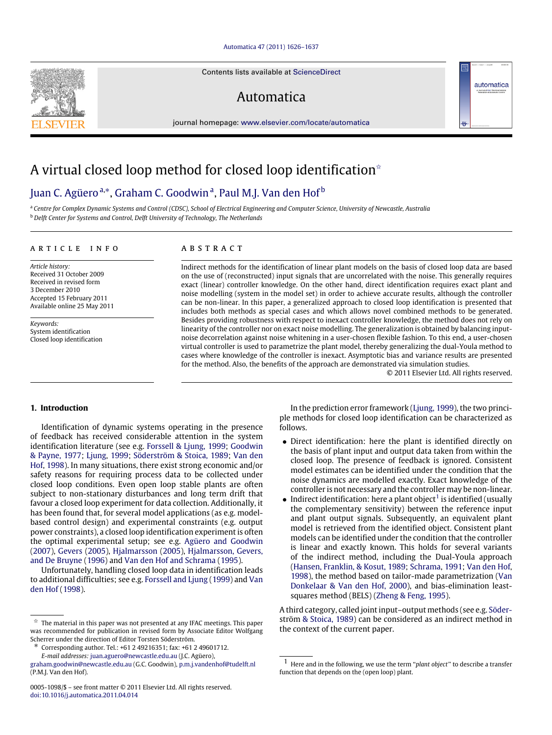#### [Automatica 47 \(2011\) 1626–1637](http://dx.doi.org/10.1016/j.automatica.2011.04.014)

Contents lists available at [ScienceDirect](http://www.elsevier.com/locate/automatica)

# Automatica

journal homepage: [www.elsevier.com/locate/automatica](http://www.elsevier.com/locate/automatica)

# A virtual closed loop method for closed loop identification<sup>\*</sup>

## [Juan C. Agüero](#page-10-0)<sup>[a,](#page-0-1)</sup>\*, [Graham C. Goodwin](#page-10-1)<sup>[a](#page-0-1)</sup>, [Paul M.J. Van den Hof](#page-11-0)<sup>[b](#page-0-3)</sup>

<span id="page-0-3"></span><span id="page-0-1"></span><sup>a</sup> *Centre for Complex Dynamic Systems and Control (CDSC), School of Electrical Engineering and Computer Science, University of Newcastle, Australia* <sup>b</sup> *Delft Center for Systems and Control, Delft University of Technology, The Netherlands*

#### ARTICLE INFO

*Article history:* Received 31 October 2009 Received in revised form 3 December 2010 Accepted 15 February 2011 Available online 25 May 2011

*Keywords:* System identification Closed loop identification

## A R S T R A C T

Indirect methods for the identification of linear plant models on the basis of closed loop data are based on the use of (reconstructed) input signals that are uncorrelated with the noise. This generally requires exact (linear) controller knowledge. On the other hand, direct identification requires exact plant and noise modelling (system in the model set) in order to achieve accurate results, although the controller can be non-linear. In this paper, a generalized approach to closed loop identification is presented that includes both methods as special cases and which allows novel combined methods to be generated. Besides providing robustness with respect to inexact controller knowledge, the method does not rely on linearity of the controller nor on exact noise modelling. The generalization is obtained by balancing inputnoise decorrelation against noise whitening in a user-chosen flexible fashion. To this end, a user-chosen virtual controller is used to parametrize the plant model, thereby generalizing the dual-Youla method to cases where knowledge of the controller is inexact. Asymptotic bias and variance results are presented for the method. Also, the benefits of the approach are demonstrated via simulation studies.

© 2011 Elsevier Ltd. All rights reserved.

automatica

#### **1. Introduction**

Identification of dynamic systems operating in the presence of feedback has received considerable attention in the system identification literature (see e.g. [Forssell](#page-10-2) [&](#page-10-2) [Ljung,](#page-10-2) [1999;](#page-10-2) [Goodwin](#page-10-3) [&](#page-10-3) [Payne,](#page-10-3) [1977;](#page-10-3) [Ljung,](#page-10-4) [1999;](#page-10-4) [Söderström](#page-10-5) [&](#page-10-5) [Stoica,](#page-10-5) [1989;](#page-10-5) [Van](#page-10-6) [den](#page-10-6) [Hof,](#page-10-6) [1998\)](#page-10-6). In many situations, there exist strong economic and/or safety reasons for requiring process data to be collected under closed loop conditions. Even open loop stable plants are often subject to non-stationary disturbances and long term drift that favour a closed loop experiment for data collection. Additionally, it has been found that, for several model applications (as e.g. modelbased control design) and experimental constraints (e.g. output power constraints), a closed loop identification experiment is often the optimal experimental setup; see e.g. [Agüero](#page-10-7) [and](#page-10-7) [Goodwin](#page-10-7) [\(2007\)](#page-10-7), [Gevers](#page-10-8) [\(2005\)](#page-10-8), [Hjalmarsson](#page-10-9) [\(2005\)](#page-10-9), [Hjalmarsson,](#page-10-10) [Gevers,](#page-10-10) [and](#page-10-10) [De](#page-10-10) [Bruyne](#page-10-10) [\(1996\)](#page-10-10) and [Van](#page-10-11) [den](#page-10-11) [Hof](#page-10-11) [and](#page-10-11) [Schrama](#page-10-11) [\(1995\)](#page-10-11).

Unfortunately, handling closed loop data in identification leads to additional difficulties; see e.g. [Forssell](#page-10-2) [and](#page-10-2) [Ljung](#page-10-2) [\(1999\)](#page-10-2) and [Van](#page-10-6) [den](#page-10-6) [Hof](#page-10-6) [\(1998\)](#page-10-6).

[doi:10.1016/j.automatica.2011.04.014](http://dx.doi.org/10.1016/j.automatica.2011.04.014)

In the prediction error framework [\(Ljung,](#page-10-4) [1999\)](#page-10-4), the two principle methods for closed loop identification can be characterized as follows.

- Direct identification: here the plant is identified directly on the basis of plant input and output data taken from within the closed loop. The presence of feedback is ignored. Consistent model estimates can be identified under the condition that the noise dynamics are modelled exactly. Exact knowledge of the controller is not necessary and the controller may be non-linear.
- $\bullet$  Indirect identification: here a plant object<sup>[1](#page-0-4)</sup> is identified (usually the complementary sensitivity) between the reference input and plant output signals. Subsequently, an equivalent plant model is retrieved from the identified object. Consistent plant models can be identified under the condition that the controller is linear and exactly known. This holds for several variants of the indirect method, including the Dual-Youla approach [\(Hansen,](#page-10-12) [Franklin,](#page-10-12) [&](#page-10-12) [Kosut,](#page-10-12) [1989;](#page-10-12) [Schrama,](#page-10-13) [1991;](#page-10-13) [Van](#page-10-6) [den](#page-10-6) [Hof,](#page-10-6) [1998\)](#page-10-6), the method based on tailor-made parametrization [\(Van](#page-10-14) [Donkelaar](#page-10-14) [&](#page-10-14) [Van](#page-10-14) [den](#page-10-14) [Hof,](#page-10-14) [2000\)](#page-10-14), and bias-elimination leastsquares method (BELS) [\(Zheng](#page-10-15) [&](#page-10-15) [Feng,](#page-10-15) [1995\)](#page-10-15).

[A](#page-10-5) third category, called joint input–output methods (see e.g. [Söder](#page-10-5)[ström](#page-10-5) [&](#page-10-5) [Stoica,](#page-10-5) [1989\)](#page-10-5) can be considered as an indirect method in the context of the current paper.



<span id="page-0-0"></span> $\overrightarrow{x}$  The material in this paper was not presented at any IFAC meetings. This paper was recommended for publication in revised form by Associate Editor Wolfgang Scherrer under the direction of Editor Torsten Söderström.

<span id="page-0-2"></span><sup>∗</sup> Corresponding author. Tel.: +61 2 49216351; fax: +61 2 49601712.

*E-mail addresses:* [juan.aguero@newcastle.edu.au](mailto:juan.aguero@newcastle.edu.au) (J.C. Agüero), [graham.goodwin@newcastle.edu.au](mailto:graham.goodwin@newcastle.edu.au) (G.C. Goodwin), [p.m.j.vandenhof@tudelft.nl](mailto:p.m.j.vandenhof@tudelft.nl)

<sup>(</sup>P.M.J. Van den Hof). 0005-1098/\$ – see front matter © 2011 Elsevier Ltd. All rights reserved.

<span id="page-0-4"></span><sup>1</sup> Here and in the following, we use the term ''*plant object*'' to describe a transfer function that depends on the (open loop) plant.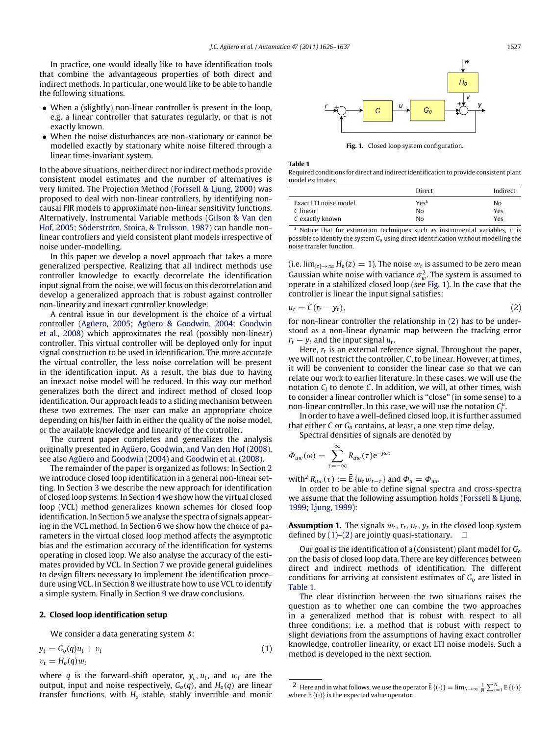In practice, one would ideally like to have identification tools that combine the advantageous properties of both direct and indirect methods. In particular, one would like to be able to handle the following situations.

- When a (slightly) non-linear controller is present in the loop, e.g. a linear controller that saturates regularly, or that is not exactly known.
- When the noise disturbances are non-stationary or cannot be modelled exactly by stationary white noise filtered through a linear time-invariant system.

In the above situations, neither direct nor indirect methods provide consistent model estimates and the number of alternatives is very limited. The Projection Method [\(Forssell](#page-10-16) [&](#page-10-16) [Ljung,](#page-10-16) [2000\)](#page-10-16) was proposed to deal with non-linear controllers, by identifying noncausal FIR models to approximate non-linear sensitivity functions. Alternatively, Instrumental Variable methods [\(Gilson](#page-10-17) [&](#page-10-17) [Van](#page-10-17) [den](#page-10-17) [Hof,](#page-10-17) [2005;](#page-10-17) [Söderström,](#page-10-18) [Stoica,](#page-10-18) [&](#page-10-18) [Trulsson,](#page-10-18) [1987\)](#page-10-18) can handle nonlinear controllers and yield consistent plant models irrespective of noise under-modelling.

In this paper we develop a novel approach that takes a more generalized perspective. Realizing that all indirect methods use controller knowledge to exactly decorrelate the identification input signal from the noise, we will focus on this decorrelation and develop a generalized approach that is robust against controller non-linearity and inexact controller knowledge.

A central issue in our development is the choice of a virtual controller [\(Agüero,](#page-10-19) [2005;](#page-10-19) [Agüero](#page-10-20) [&](#page-10-20) [Goodwin,](#page-10-20) [2004;](#page-10-20) [Goodwin](#page-10-21) [et al.,](#page-10-21) [2008\)](#page-10-21) which approximates the real (possibly non-linear) controller. This virtual controller will be deployed only for input signal construction to be used in identification. The more accurate the virtual controller, the less noise correlation will be present in the identification input. As a result, the bias due to having an inexact noise model will be reduced. In this way our method generalizes both the direct and indirect method of closed loop identification. Our approach leads to a sliding mechanism between these two extremes. The user can make an appropriate choice depending on his/her faith in either the quality of the noise model, or the available knowledge and linearity of the controller.

The current paper completes and generalizes the analysis originally presented in [Agüero,](#page-10-22) [Goodwin,](#page-10-22) [and](#page-10-22) [Van](#page-10-22) [den](#page-10-22) [Hof](#page-10-22) [\(2008\)](#page-10-22), see also [Agüero](#page-10-20) [and](#page-10-20) [Goodwin](#page-10-20) [\(2004\)](#page-10-20) and [Goodwin](#page-10-21) [et al.](#page-10-21) [\(2008\)](#page-10-21).

The remainder of the paper is organized as follows: In Section [2](#page-1-0) we introduce closed loop identification in a general non-linear setting. In Section [3](#page-2-0) we describe the new approach for identification of closed loop systems. In Section [4](#page-3-0) we show how the virtual closed loop (VCL) method generalizes known schemes for closed loop identification. In Section [5](#page-4-0) we analyse the spectra of signals appearing in the VCL method. In Section [6](#page-5-0) we show how the choice of parameters in the virtual closed loop method affects the asymptotic bias and the estimation accuracy of the identification for systems operating in closed loop. We also analyse the accuracy of the estimates provided by VCL. In Section [7](#page-7-0) we provide general guidelines to design filters necessary to implement the identification procedure using VCL. In Section [8](#page-7-1) we illustrate how to use VCL to identify a simple system. Finally in Section [9](#page-10-23) we draw conclusions.

#### <span id="page-1-0"></span>**2. Closed loop identification setup**

We consider a data generating system  $\delta$ :

$$
y_t = G_o(q)u_t + v_t
$$

$$
v_t = H_o(q)w_t
$$
 (1)

where  $q$  is the forward-shift operator,  $y_t$ ,  $u_t$ , and  $w_t$  are the output, input and noise respectively,  $G_o(q)$ , and  $H_o(q)$  are linear transfer functions, with *H<sup>o</sup>* stable, stably invertible and monic

<span id="page-1-2"></span>

**Fig. 1.** Closed loop system configuration.

<span id="page-1-6"></span>**Table 1**

Required conditions for direct and indirect identification to provide consistent plant model estimates.

|                       | Direct           | Indirect |
|-----------------------|------------------|----------|
| Exact LTI noise model | Yes <sup>a</sup> | No       |
| C linear              | No               | Yes      |
| C exactly known       | Nο               | Yes      |

<span id="page-1-1"></span><sup>a</sup> Notice that for estimation techniques such as instrumental variables, it is possible to identify the system *G<sup>o</sup>* using direct identification without modelling the noise transfer function.

(i.e.  $\lim_{|z|\to\infty}$  *H*<sub>o</sub>(*z*) = 1). The noise  $w_t$  is assumed to be zero mean Gaussian white noise with variance  $\sigma_w^2$ . The system is assumed to operate in a stabilized closed loop (see [Fig. 1\)](#page-1-2). In the case that the controller is linear the input signal satisfies:

<span id="page-1-3"></span>
$$
u_t = C(r_t - y_t), \tag{2}
$$

for non-linear controller the relationship in [\(2\)](#page-1-3) has to be understood as a non-linear dynamic map between the tracking error  $r_t - y_t$  and the input signal  $u_t$ .

Here, *r<sup>t</sup>* is an external reference signal. Throughout the paper, we will not restrict the controller, *C*, to be linear. However, at times, it will be convenient to consider the linear case so that we can relate our work to earlier literature. In these cases, we will use the notation *C<sup>l</sup>* to denote *C*. In addition, we will, at other times, wish to consider a linear controller which is ''close'' (in some sense) to a non-linear controller. In this case, we will use the notation  $C_l^a$ .

In order to have a well-defined closed loop, it is further assumed that either *C* or *G<sup>o</sup>* contains, at least, a one step time delay.

Spectral densities of signals are denoted by

$$
\Phi_{uw}(\omega) = \sum_{\tau = -\infty}^{\infty} R_{uw}(\tau) e^{-j\omega \tau}
$$

with<sup>[2](#page-1-4)</sup>  $R_{uw}(\tau) := \bar{E} \{u_t w_{t-\tau}\}\$ and  $\Phi_u = \Phi_{uu}$ .

In order to be able to define signal spectra and cross-spectra we assume that the following assumption holds [\(Forssell](#page-10-2) [&](#page-10-2) [Ljung,](#page-10-2) [1999;](#page-10-2) [Ljung,](#page-10-4) [1999\)](#page-10-4):

<span id="page-1-7"></span>**Assumption 1.** The signals  $w_t$ ,  $r_t$ ,  $u_t$ ,  $y_t$  in the closed loop system defined by  $(1)$ – $(2)$  are jointly quasi-stationary.  $\Box$ 

Our goal is the identification of a (consistent) plant model for *G<sup>o</sup>* on the basis of closed loop data. There are key differences between direct and indirect methods of identification. The different conditions for arriving at consistent estimates of *G<sup>o</sup>* are listed in [Table 1.](#page-1-6)

The clear distinction between the two situations raises the question as to whether one can combine the two approaches in a generalized method that is robust with respect to all three conditions; i.e. a method that is robust with respect to slight deviations from the assumptions of having exact controller knowledge, controller linearity, or exact LTI noise models. Such a method is developed in the next section.

<span id="page-1-5"></span><span id="page-1-4"></span><sup>&</sup>lt;sup>2</sup> Here and in what follows, we use the operator  $\bar{E}\left\{\left(\cdot\right)\right\} = \lim_{N \to \infty} \frac{1}{N} \sum_{t=1}^{N} E\left\{\left(\cdot\right)\right\}$ where  $E\{(\cdot)\}\$ is the expected value operator.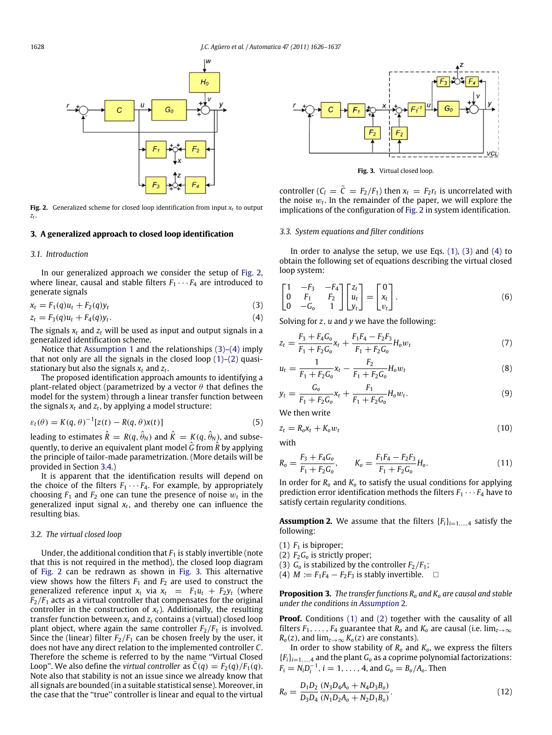<span id="page-2-1"></span>

**Fig. 2.** Generalized scheme for closed loop identification from input  $x_t$  to output *zt* .

#### <span id="page-2-0"></span>**3. A generalized approach to closed loop identification**

#### *3.1. Introduction*

In our generalized approach we consider the setup of [Fig. 2,](#page-2-1) where linear, causal and stable filters  $F_1 \cdots F_4$  are introduced to generate signals

$$
x_t = F_1(q)u_t + F_2(q)y_t \tag{3}
$$

$$
z_t = F_3(q)u_t + F_4(q)y_t.
$$
\n(4)

The signals *x<sup>t</sup>* and *z<sup>t</sup>* will be used as input and output signals in a generalized identification scheme.

Notice that [Assumption 1](#page-1-7) and the relationships [\(3\)–](#page-2-2)[\(4\)](#page-2-3) imply that not only are all the signals in the closed loop  $(1)$ – $(2)$  quasistationary but also the signals *x<sup>t</sup>* and *z<sup>t</sup>* .

The proposed identification approach amounts to identifying a plant-related object (parametrized by a vector  $\theta$  that defines the model for the system) through a linear transfer function between the signals *x<sup>t</sup>* and *z<sup>t</sup>* , by applying a model structure:

$$
\varepsilon_t(\theta) = K(q, \theta)^{-1} [z(t) - R(q, \theta) x(t)] \tag{5}
$$

leading to estimates  $\hat{R} = R(q, \hat{\theta}_N)$  and  $\hat{K} = K(q, \hat{\theta}_N)$ , and subsequently, to derive an equivalent plant model *<sup>G</sup>*ˆ from *<sup>R</sup>*ˆ by applying the principle of tailor-made parametrization. (More details will be provided in Section [3.4.](#page-3-1))

It is apparent that the identification results will depend on the choice of the filters  $F_1 \cdots F_4$ . For example, by appropriately choosing  $F_1$  and  $F_2$  one can tune the presence of noise  $w_t$  in the generalized input signal *x<sup>t</sup>* , and thereby one can influence the resulting bias.

#### *3.2. The virtual closed loop*

Under, the additional condition that  $F_1$  is stably invertible (note that this is not required in the method), the closed loop diagram of [Fig. 2](#page-2-1) can be redrawn as shown in [Fig. 3.](#page-2-4) This alternative view shows how the filters  $F_1$  and  $F_2$  are used to construct the generalized reference input  $x_t$  via  $x_t = F_1 u_t + F_2 y_t$  (where  $F_2/F_1$  acts as a virtual controller that compensates for the original controller in the construction of  $x_t$ ). Additionally, the resulting transfer function between  $x_t$  and  $z_t$  contains a (virtual) closed loop plant object, where again the same controller  $F_2/F_1$  is involved. Since the (linear) filter  $F_2/F_1$  can be chosen freely by the user, it does not have any direct relation to the implemented controller *C*. Therefore the scheme is referred to by the name ''Virtual Closed Loop". We also define the *virtual controller* as  $C(q) = F_2(q)/F_1(q)$ . Note also that stability is not an issue since we already know that all signals are bounded (in a suitable statistical sense). Moreover, in the case that the ''true'' controller is linear and equal to the virtual

<span id="page-2-4"></span>

<span id="page-2-7"></span>**Fig. 3.** Virtual closed loop.

controller  $(C_l = \overline{C} = F_2/F_1)$  then  $x_t = F_2 r_t$  is uncorrelated with the noise w*<sup>t</sup>* . In the remainder of the paper, we will explore the implications of the configuration of [Fig. 2](#page-2-1) in system identification.

#### *3.3. System equations and filter conditions*

In order to analyse the setup, we use Eqs.  $(1)$ ,  $(3)$  and  $(4)$  to obtain the following set of equations describing the virtual closed loop system:

<span id="page-2-2"></span>
$$
\begin{bmatrix} 1 & -F_3 & -F_4 \ 0 & F_1 & F_2 \ 0 & -G_0 & 1 \end{bmatrix} \begin{bmatrix} z_t \\ u_t \\ y_t \end{bmatrix} = \begin{bmatrix} 0 \\ x_t \\ v_t \end{bmatrix}.
$$
 (6)

<span id="page-2-3"></span>Solving for *z*, *u* and *y* we have the following:

$$
z_t = \frac{F_3 + F_4 G_0}{F_1 + F_2 G_0} x_t + \frac{F_1 F_4 - F_2 F_3}{F_1 + F_2 G_0} H_0 w_t
$$
\n<sup>(7)</sup>

$$
u_t = \frac{1}{F_1 + F_2 G_0} x_t - \frac{F_2}{F_1 + F_2 G_0} H_0 w_t
$$
\n(8)

$$
y_t = \frac{G_0}{F_1 + F_2 G_0} x_t + \frac{F_1}{F_1 + F_2 G_0} H_0 w_t.
$$
\n(9)

We then write

<span id="page-2-6"></span>
$$
z_t = R_o x_t + K_o w_t \tag{10}
$$

with

$$
R_o = \frac{F_3 + F_4 G_o}{F_1 + F_2 G_o}, \qquad K_o = \frac{F_1 F_4 - F_2 F_3}{F_1 + F_2 G_o} H_o.
$$
\n(11)

In order for *R<sup>o</sup>* and *K<sup>o</sup>* to satisfy the usual conditions for applying prediction error identification methods the filters  $F_1 \cdots F_4$  have to satisfy certain regularity conditions.

<span id="page-2-5"></span>**Assumption 2.** We assume that the filters  ${F_i}_{i=1,\ldots,4}$  satisfy the following:

- (1)  $F_1$  is biproper;
- (2)  $F_2G_0$  is strictly proper;
- (3)  $G_0$  is stabilized by the controller  $F_2/F_1$ ;

(4)  $M := F_1F_4 - F_2F_3$  is stably invertible.  $\square$ 

**Proposition 3.** *The transfer functions R<sup>o</sup> and K<sup>o</sup> are causal and stable under the conditions in [Assumption](#page-2-5)* 2*.*

**Proof.** Conditions [\(1\)](#page-1-5) and [\(2\)](#page-1-3) together with the causality of all filters  $F_1, \ldots, F_4$  guarantee that  $R_o$  and  $K_o$  are causal (i.e. lim<sub>z→∞</sub>  $R_o(z)$ , and  $\lim_{z\to\infty} K_o(z)$  are constants).

In order to show stability of  $R_0$  and  $K_0$ , we express the filters  ${F_i}_{i=1,\ldots,4}$  and the plant  $G_0$  as a coprime polynomial factorizations:  $F_i = N_i D_i^{-1}, i = 1, \ldots, 4$ , and  $G_0 = B_0 / A_0$ . Then

$$
R_o = \frac{D_1 D_2}{D_3 D_4} \frac{(N_3 D_4 A_o + N_4 D_3 B_o)}{(N_1 D_2 A_o + N_2 D_1 B_o)}.
$$
\n(12)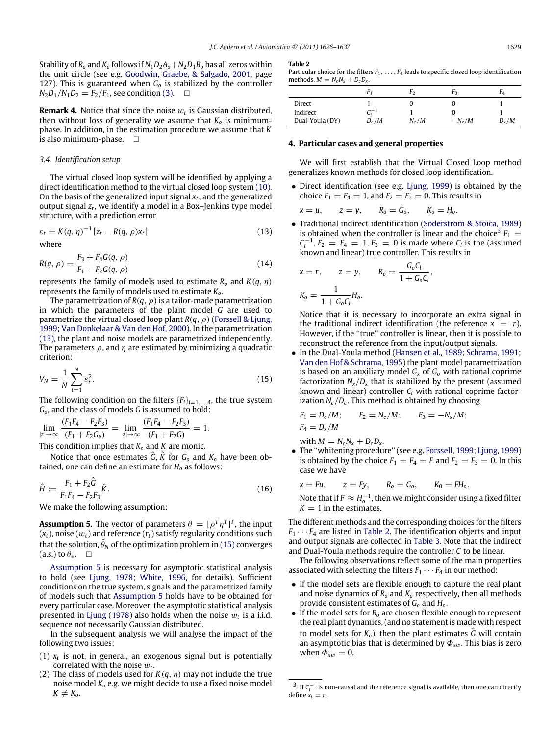Stability of  $R_0$  and  $K_0$  follows if  $N_1D_2A_0 + N_2D_1B_0$  has all zeros within the unit circle (see e.g. [Goodwin,](#page-10-24) [Graebe,](#page-10-24) [&](#page-10-24) [Salgado,](#page-10-24) [2001,](#page-10-24) page 127). This is guaranteed when *G<sup>o</sup>* is stabilized by the controller  $N_2D_1/N_1D_2 = F_2/F_1$ , see condition [\(3\).](#page-2-2)  $\square$ 

**Remark 4.** Notice that since the noise  $w_t$  is Gaussian distributed, then without loss of generality we assume that  $K_0$  is minimumphase. In addition, in the estimation procedure we assume that *K* is also minimum-phase.

#### <span id="page-3-1"></span>*3.4. Identification setup*

The virtual closed loop system will be identified by applying a direct identification method to the virtual closed loop system [\(10\).](#page-2-6) On the basis of the generalized input signal *x<sup>t</sup>* , and the generalized output signal *z<sup>t</sup>* , we identify a model in a Box–Jenkins type model structure, with a prediction error

$$
\varepsilon_t = K(q, \eta)^{-1} \left[ z_t - R(q, \rho) x_t \right] \tag{13}
$$

where

$$
R(q, \rho) = \frac{F_3 + F_4 G(q, \rho)}{F_1 + F_2 G(q, \rho)}
$$
(14)

represents the family of models used to estimate  $R_0$  and  $K(q, \eta)$ represents the family of models used to estimate *Ko*.

The parametrization of  $R(q, \rho)$  is a tailor-made parametrization in which the parameters of the plant model *G* are used to parametrize the virtual closed loop plant *R*(*q*, ρ) [\(Forssell](#page-10-2) [&](#page-10-2) [Ljung,](#page-10-2) [1999;](#page-10-2) [Van](#page-10-14) [Donkelaar](#page-10-14) [&](#page-10-14) [Van](#page-10-14) [den](#page-10-14) [Hof,](#page-10-14) [2000\)](#page-10-14). In the parametrization [\(13\),](#page-3-2) the plant and noise models are parametrized independently. The parameters  $\rho$ , and  $\eta$  are estimated by minimizing a quadratic criterion:

$$
V_N = \frac{1}{N} \sum_{t=1}^{N} \varepsilon_t^2.
$$
 (15)

The following condition on the filters  $\{F_i\}_{i=1,\dots,4}$ , the true system *Go*, and the class of models *G* is assumed to hold:

lim |*z*|→∞  $(F_1F_4 - F_2F_3)$  $\frac{\lim_{t \to T_4} \frac{F_2 F_3}{F_1}}{(F_1 + F_2 G_0)} = \lim_{|z| \to \infty}$  $(F_1F_4 - F_2F_3)$  $\frac{(F_1 + F_2)}{(F_1 + F_2)} = 1.$ 

This condition implies that *K<sup>o</sup>* and *K* are monic.

Notice that once estimates  $\hat{G}$ ,  $\hat{K}$  for  $G$ <sup>o</sup> and  $K$ <sup>o</sup> have been obtained, one can define an estimate for *H<sup>o</sup>* as follows:

$$
\hat{H} := \frac{F_1 + F_2 \hat{G}}{F_1 F_4 - F_2 F_3} \hat{K}.
$$
\n(16)

We make the following assumption:

<span id="page-3-4"></span>**Assumption 5.** The vector of parameters  $\theta = [\rho^T \eta^T]^T$ , the input  $(x_t)$ , noise  $(w_t)$  and reference  $(r_t)$  satisfy regularity conditions such that the solution,  $\hat{\theta}_\text{N}$  of the optimization problem in [\(15\)](#page-3-3) converges (a.s.) to  $\theta_*$ .  $\Box$ 

[Assumption 5](#page-3-4) is necessary for asymptotic statistical analysis to hold (see [Ljung,](#page-10-25) [1978;](#page-10-25) [White,](#page-10-26) [1996,](#page-10-26) for details). Sufficient conditions on the true system, signals and the parametrized family of models such that [Assumption 5](#page-3-4) holds have to be obtained for every particular case. Moreover, the asymptotic statistical analysis presented in [Ljung](#page-10-25) [\(1978\)](#page-10-25) also holds when the noise  $w_t$  is a i.i.d. sequence not necessarily Gaussian distributed.

In the subsequent analysis we will analyse the impact of the following two issues:

- (1) *x<sup>t</sup>* is not, in general, an exogenous signal but is potentially correlated with the noise  $w_t$ .
- (2) The class of models used for  $K(q, \eta)$  may not include the true noise model *K<sup>o</sup>* e.g. we might decide to use a fixed noise model  $K \neq K_o$ .

#### <span id="page-3-6"></span>**Table 2**

Particular choice for the filters  $F_1, \ldots, F_4$  leads to specific closed loop identification methods.  $M = N_c N_x + D_c D_x$ .

|                 |         | r۶      | r2       |         |
|-----------------|---------|---------|----------|---------|
| Direct          |         |         |          |         |
| Indirect        | $-1$    |         |          |         |
| Dual-Youla (DY) | $D_c/M$ | $N_c/M$ | $-N_x/M$ | $D_x/M$ |

#### <span id="page-3-0"></span>**4. Particular cases and general properties**

We will first establish that the Virtual Closed Loop method generalizes known methods for closed loop identification.

• Direct identification (see e.g. [Ljung,](#page-10-4) [1999\)](#page-10-4) is obtained by the choice  $F_1 = F_4 = 1$ , and  $F_2 = F_3 = 0$ . This results in

$$
x = u, \qquad z = y, \qquad R_o = G_o, \qquad K_o = H_o.
$$

<span id="page-3-2"></span>• Traditional indirect identification [\(Söderström](#page-10-5) [&](#page-10-5) [Stoica,](#page-10-5) [1989\)](#page-10-5) is obtained when the controller is linear and the choice<sup>[3](#page-3-5)</sup>  $F_1$  =  $C_l^{-1}$ ,  $F_2 = F_4 = 1$ ,  $F_3 = 0$  is made where  $C_l$  is the (assumed known and linear) true controller. This results in

<span id="page-3-7"></span>
$$
x = r
$$
,  $z = y$ ,  $R_o = \frac{G_o C_l}{1 + G_o C_l}$ ,  
 $K_o = \frac{1}{1 + G_o C_l} H_o$ .

Notice that it is necessary to incorporate an extra signal in the traditional indirect identification (the reference  $x = r$ ). However, if the "true" controller is linear, then it is possible to reconstruct the reference from the input/output signals.

<span id="page-3-3"></span>• In the Dual-Youla method [\(Hansen](#page-10-12) [et al.,](#page-10-12) [1989;](#page-10-12) [Schrama,](#page-10-13) [1991;](#page-10-13) [Van](#page-10-11) [den](#page-10-11) [Hof](#page-10-11) [&](#page-10-11) [Schrama,](#page-10-11) [1995\)](#page-10-11) the plant model parametrization is based on an auxiliary model *G<sup>x</sup>* of *G<sup>o</sup>* with rational coprime factorization  $N_x/D_x$  that is stabilized by the present (assumed known and linear) controller *C<sup>l</sup>* with rational coprime factorization *Nc*/*D<sup>c</sup>* . This method is obtained by choosing

$$
F_1 = D_c/M;
$$
  $F_2 = N_c/M;$   $F_3 = -N_x/M;$   
 $F_4 = D_x/M$ 

with  $M = N_c N_x + D_c D_x$ .

• The ''whitening procedure'' (see e.g. [Forssell,](#page-10-27) [1999;](#page-10-27) [Ljung,](#page-10-4) [1999\)](#page-10-4) is obtained by the choice  $F_1 = F_4 = F$  and  $F_2 = F_3 = 0$ . In this case we have

$$
x = Fu, \qquad z = Fy, \qquad R_o = G_o, \qquad K_0 = FH_o.
$$

Note that if  $F \approx H_o^{-1}$ , then we might consider using a fixed filter  $K = 1$  in the estimates.

The different methods and the corresponding choices for the filters  $F_1 \cdots F_4$  are listed in [Table 2.](#page-3-6) The identification objects and input and output signals are collected in [Table 3.](#page-4-1) Note that the indirect and Dual-Youla methods require the controller *C* to be linear.

The following observations reflect some of the main properties associated with selecting the filters  $F_1 \cdots F_4$  in our method:

- If the model sets are flexible enough to capture the real plant and noise dynamics of *R<sup>o</sup>* and *K<sup>o</sup>* respectively, then all methods provide consistent estimates of *G<sup>o</sup>* and *Ho*.
- If the model sets for  $R_0$  are chosen flexible enough to represent the real plant dynamics, (and no statement is made with respect to model sets for  $K_0$ ), then the plant estimates  $\hat{G}$  will contain an asymptotic bias that is determined by Φ*x*w. This bias is zero when  $\Phi_{xw} = 0$ .

<span id="page-3-5"></span> $3$  If  $C_l^{-1}$  is non-causal and the reference signal is available, then one can directly define  $x_t = r_t$ .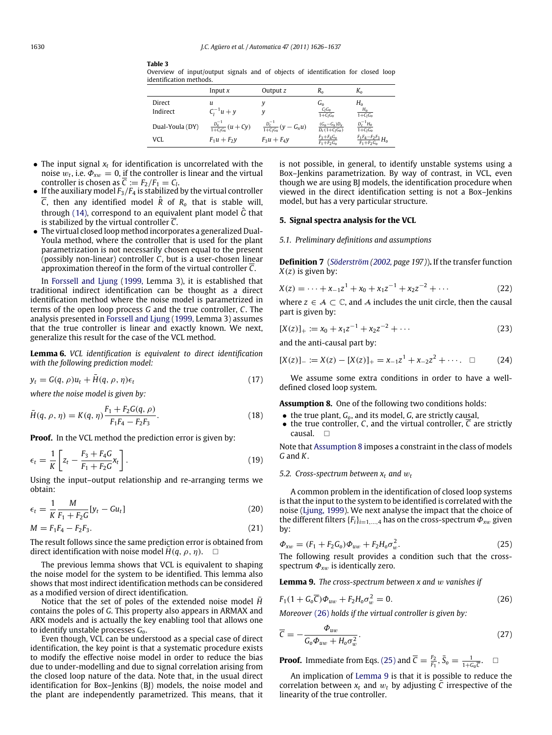|                         |           |  |            | Overview of input/output signals and of objects of identification for closed loop |  |  |
|-------------------------|-----------|--|------------|-----------------------------------------------------------------------------------|--|--|
| identification methods. |           |  |            |                                                                                   |  |  |
|                         | Input $x$ |  | Output $z$ |                                                                                   |  |  |

|                 | Input $x$                         | Output z                            | $R_{o}$                                   | $K_{\alpha}$                           |
|-----------------|-----------------------------------|-------------------------------------|-------------------------------------------|----------------------------------------|
| Direct          |                                   |                                     | $G_{o}$                                   | Н.                                     |
| Indirect        | $C_1^{-1}u + y$                   |                                     | $\frac{\check{C}_l G_0}{1+C_l G_0}$       | $\frac{H_0}{1+C_1G_0}$                 |
| Dual-Youla (DY) | $\frac{D_x^{-1}}{1+C_1G_x}(u+Cy)$ | $\frac{D_c^{-1}}{1+C_1G_x}(y-G_xu)$ | $\frac{(G_0 - G_X)D_X}{D_C(1 + C_I G_0)}$ | $\frac{D_{c}^{-1}H_{o}}{1+C_{I}G_{o}}$ |
| VCL             | $F_1u + F_2y$                     | $F_3u + F_4y$                       | $F_3 + F_4 G_0$<br>$F_1 + F_2 G_0$        | $\frac{F_1F_4-F_2F_3}{F_1+F_2G_0}H_0$  |

• The input signal  $x_t$  for identification is uncorrelated with the noise  $w_t$ , i.e.  $\Phi_{xw} = 0$ , <u>if</u> the controller is linear and the virtual controller is chosen as  $\overline{C} := F_2/F_1 = C$ *l*.

<span id="page-4-1"></span>**Table 3**

- If the auxiliary model  $F_3/F_4$  is stabilized by the virtual controller  $\overline{C}$ , then any identified model  $\hat{R}$  of  $R_0$  that is stable will, through [\(14\),](#page-3-7) correspond to an equivalent plant model *<sup>G</sup>*ˆ that is stabilized by the virtual controller  $\overline{C}$ .
- The virtual closed loop method incorporates a generalized Dual-Youla method, where the controller that is used for the plant parametrization is not necessarily chosen equal to the present (possibly non-linear) controller *C*, but is a user-chosen linear approximation thereof in the form of the virtual controller *C*.

In [Forssell](#page-10-2) [and](#page-10-2) [Ljung](#page-10-2) [\(1999,](#page-10-2) Lemma 3), it is established that traditional indirect identification can be thought as a direct identification method where the noise model is parametrized in terms of the open loop process *G* and the true controller, *C*. The analysis presented in [Forssell](#page-10-2) [and](#page-10-2) [Ljung](#page-10-2) [\(1999,](#page-10-2) Lemma 3) assumes that the true controller is linear and exactly known. We next, generalize this result for the case of the VCL method.

<span id="page-4-7"></span>**Lemma 6.** *VCL identification is equivalent to direct identification with the following prediction model:*

$$
y_t = G(q, \rho)u_t + \bar{H}(q, \rho, \eta)\epsilon_t
$$
\n(17)

*where the noise model is given by:*

$$
\bar{H}(q, \rho, \eta) = K(q, \eta) \frac{F_1 + F_2 G(q, \rho)}{F_1 F_4 - F_2 F_3}.
$$
\n(18)

**Proof.** In the VCL method the prediction error is given by:

$$
\epsilon_t = \frac{1}{K} \left[ z_t - \frac{F_3 + F_4 G}{F_1 + F_2 G} x_t \right].
$$
\n(19)

Using the input–output relationship and re-arranging terms we obtain:

$$
\epsilon_t = \frac{1}{K} \frac{M}{F_1 + F_2 G} [y_t - Gu_t]
$$
\n(20)

$$
M = F_1 F_4 - F_2 F_3. \tag{21}
$$

The result follows since the same prediction error is obtained from direct identification with noise model  $\bar{H}(q, \rho, \eta)$ .  $\square$ 

The previous lemma shows that VCL is equivalent to shaping the noise model for the system to be identified. This lemma also shows that most indirect identification methods can be considered as a modified version of direct identification.

Notice that the set of poles of the extended noise model *<sup>H</sup>*¯ contains the poles of *G*. This property also appears in ARMAX and ARX models and is actually the key enabling tool that allows one to identify unstable processes *Go*.

Even though, VCL can be understood as a special case of direct identification, the key point is that a systematic procedure exists to modify the effective noise model in order to reduce the bias due to under-modelling and due to signal correlation arising from the closed loop nature of the data. Note that, in the usual direct identification for Box–Jenkins (BJ) models, the noise model and the plant are independently parametrized. This means, that it is not possible, in general, to identify unstable systems using a Box–Jenkins parametrization. By way of contrast, in VCL, even though we are using BJ models, the identification procedure when viewed in the direct identification setting is not a Box–Jenkins model, but has a very particular structure.

#### <span id="page-4-0"></span>**5. Signal spectra analysis for the VCL**

*5.1. Preliminary definitions and assumptions*

**Definition 7** (*[Söderström](#page-10-28) [\(2002,](#page-10-28) page 197)*)**.** If the transfer function *X*(*z*) is given by:

$$
X(z) = \dots + x_{-1}z^1 + x_0 + x_1z^{-1} + x_2z^{-2} + \dots
$$
 (22)

where  $z \in A \subset \mathbb{C}$ , and A includes the unit circle, then the causal part is given by:

$$
[X(z)]_{+} := x_0 + x_1 z^{-1} + x_2 z^{-2} + \cdots
$$
 (23)

and the anti-causal part by:

$$
[X(z)]_{-} := X(z) - [X(z)]_{+} = x_{-1}z^{1} + x_{-2}z^{2} + \cdots \quad \Box \tag{24}
$$

We assume some extra conditions in order to have a welldefined closed loop system.

**Assumption 8.** One of the following two conditions holds:

- <span id="page-4-2"></span>• the true plant, *Go*, and its model, *G*, are strictly causal,
- the true controller,  $C$ , and the virtual controller,  $\overline{C}$  are strictly causal.  $\Box$

Note that [Assumption 8](#page-4-2) imposes a constraint in the class of models *G* and *K*.

### <span id="page-4-8"></span>*5.2. Cross-spectrum between x<sup>t</sup> and* w*<sup>t</sup>*

A common problem in the identification of closed loop systems is that the input to the system to be identified is correlated with the noise [\(Ljung,](#page-10-4) [1999\)](#page-10-4). We next analyse the impact that the choice of the different filters  ${F_i}_{i=1,\ldots,4}$  has on the cross-spectrum  $\Phi_{xw}$  given by:

<span id="page-4-4"></span>
$$
\Phi_{xw} = (F_1 + F_2 G_0) \Phi_{uw} + F_2 H_0 \sigma_w^2.
$$
\n(25)

The following result provides a condition such that the crossspectrum  $\Phi_{xw}$  is identically zero.

<span id="page-4-5"></span><span id="page-4-3"></span>**Lemma 9.** *The cross-spectrum between x and* w *vanishes if*

$$
F_1(1 + G_o \overline{C}) \Phi_{uw} + F_2 H_o \sigma_w^2 = 0.
$$
 (26)

*Moreover* [\(26\)](#page-4-3) *holds if the virtual controller is given by:*

<span id="page-4-6"></span>
$$
\overline{C} = -\frac{\Phi_{uw}}{G_0 \Phi_{uw} + H_0 \sigma_w^2}.
$$
\n(27)

**Proof.** Immediate from Eqs. [\(25\)](#page-4-4) and  $\overline{C} = \frac{F_2}{F_1}$ ,  $\overline{S}_0 = \frac{1}{1 + G_0 \overline{c}}$ .  $\Box$ 

An implication of [Lemma 9](#page-4-5) is that it is possible to reduce the correlation between  $x_t$  and  $w_t$  by adjusting C irrespective of the linearity of the true controller.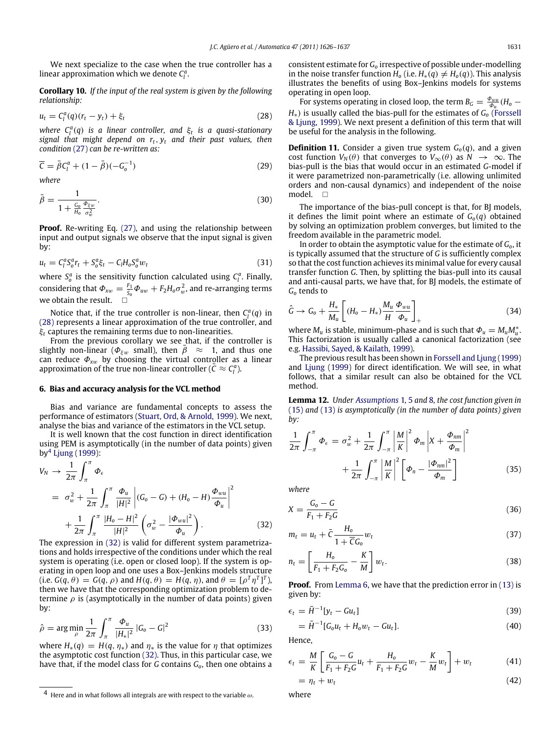We next specialize to the case when the true controller has a linear approximation which we denote  $C_l^a$ .

**Corollary 10.** *If the input of the real system is given by the following relationship:*

$$
u_t = C_l^a(q)(r_t - y_t) + \xi_t \tag{28}
$$

*where*  $C_l^a(q)$  *is a linear controller, and*  $\xi_t$  *is a quasi-stationary signal that might depend on rt*, *y<sup>t</sup> and their past values, then condition* [\(27\)](#page-4-6) *can be re-written as:*

$$
\overline{C} = \bar{\beta}C_l^a + (1 - \bar{\beta})(-G_o^{-1})
$$
\n(29)

*where*

$$
\bar{\beta} = \frac{1}{1 + \frac{G_o}{H_o} \frac{\Phi_{\xi w}}{\sigma_w^2}}.
$$
\n(30)

**Proof.** Re-writing Eq. [\(27\),](#page-4-6) and using the relationship between input and output signals we observe that the input signal is given by:

$$
u_t = C_l^a S_o^a r_t + S_o^a \xi_t - C_l H_o S_o^a w_t \tag{31}
$$

where  $S_a^a$  is the sensitivity function calculated using  $C_i^a$ . Finally, considering that  $\Phi_{xw} = \frac{F_1}{\bar{s}_0} \Phi_{uw} + F_2 H_0 \sigma_w^2$ , and re-arranging terms we obtain the result.  $\square$ 

Notice that, if the true controller is non-linear, then  $C_l^a(q)$  in [\(28\)](#page-5-1) represents a linear approximation of the true controller, and ξ*<sup>t</sup>* captures the remaining terms due to non-linearities.

From the previous corollary we see that, if the controller is slightly non-linear ( $\Phi_{\xi w}$  small), then  $\bar{\beta} \approx 1$ , and thus one can reduce  $\Phi_{xw}$  by choosing the virtual controller as a linear approximation of the true non-linear controller  $(\bar{C} \approx C_l^a)$ .

#### <span id="page-5-0"></span>**6. Bias and accuracy analysis for the VCL method**

Bias and variance are fundamental concepts to assess the performance of estimators [\(Stuart,](#page-10-29) [Ord,](#page-10-29) [&](#page-10-29) [Arnold,](#page-10-29) [1999\)](#page-10-29). We next, analyse the bias and variance of the estimators in the VCL setup.

It is well known that the cost function in direct identification using PEM is asymptotically (in the number of data points) given by[4](#page-5-2) [Ljung](#page-10-4) [\(1999\)](#page-10-4):

$$
V_N \to \frac{1}{2\pi} \int_{\pi}^{\pi} \Phi_{\epsilon}
$$
  
=  $\sigma_w^2 + \frac{1}{2\pi} \int_{\pi}^{\pi} \frac{\Phi_u}{|H|^2} |(G_0 - G) + (H_0 - H) \frac{\Phi_{wu}}{\Phi_u}|^2$   
+  $\frac{1}{2\pi} \int_{\pi}^{\pi} \frac{|H_0 - H|^2}{|H|^2} \left(\sigma_w^2 - \frac{|\Phi_{wu}|^2}{\Phi_u}\right).$  (32)

The expression in [\(32\)](#page-5-3) is valid for different system parametrizations and holds irrespective of the conditions under which the real system is operating (i.e. open or closed loop). If the system is operating in open loop and one uses a Box–Jenkins models structure (i.e.  $G(q, \theta) = G(q, \rho)$  and  $H(q, \theta) = H(q, \eta)$ , and  $\theta = [\rho^T \eta^T]^T$ ), then we have that the corresponding optimization problem to determine  $\rho$  is (asymptotically in the number of data points) given by:

$$
\hat{\rho} = \arg \min_{\rho} \frac{1}{2\pi} \int_{\pi}^{\pi} \frac{\Phi_u}{|H_*|^2} |G_o - G|^2
$$
\n(33)

where  $H_*(q) = H(q, \eta_*)$  and  $\eta_*$  is the value for  $\eta$  that optimizes the asymptotic cost function [\(32\).](#page-5-3) Thus, in this particular case, we have that, if the model class for *G* contains *Go*, then one obtains a consistent estimate for *G<sup>o</sup>* irrespective of possible under-modelling in the noise transfer function  $H_0$  (i.e.  $H_*(q) \neq H_0(q)$ ). This analysis illustrates the benefits of using Box–Jenkins models for systems operating in open loop.

<span id="page-5-1"></span>For systems operating in closed loop, the term  $B_G = \frac{\Phi_{wu}}{\Phi_u} (H_o -$ *H*∗) is usually called the bias-pull for the estimates of *G<sup>o</sup>* [\(Forssell](#page-10-2) [&](#page-10-2) [Ljung,](#page-10-2) [1999\)](#page-10-2). We next present a definition of this term that will be useful for the analysis in the following.

<span id="page-5-6"></span>**Definition 11.** Consider a given true system  $G<sub>o</sub>(q)$ , and a given cost function  $V_N(\theta)$  that converges to  $V_{\infty}(\theta)$  as  $N \to \infty$ . The bias-pull is the bias that would occur in an estimated *G*-model if it were parametrized non-parametrically (i.e. allowing unlimited orders and non-causal dynamics) and independent of the noise model. □

The importance of the bias-pull concept is that, for BJ models, it defines the limit point where an estimate of  $G<sub>o</sub>(q)$  obtained by solving an optimization problem converges, but limited to the freedom available in the parametric model.

In order to obtain the asymptotic value for the estimate of *Go*, it is typically assumed that the structure of *G* is sufficiently complex so that the cost function achieves its minimal value for every causal transfer function *G*. Then, by splitting the bias-pull into its causal and anti-causal parts, we have that, for BJ models, the estimate of *G<sup>o</sup>* tends to

$$
\hat{G} \rightarrow G_0 + \frac{H_*}{M_u} \left[ (H_0 - H_*) \frac{M_u}{H} \frac{\Phi_{wu}}{\Phi_u} \right]_+ \tag{34}
$$

where  $M_u$  is stable, minimum-phase and is such that  $\Phi_u = M_u M_u^*$ . This factorization is usually called a canonical factorization (see e.g. [Hassibi,](#page-10-30) [Sayed,](#page-10-30) [&](#page-10-30) [Kailath,](#page-10-30) [1999\)](#page-10-30).

The previous result has been shown in [Forssell](#page-10-2) [and](#page-10-2) [Ljung](#page-10-2) [\(1999\)](#page-10-2) and [Ljung](#page-10-4) [\(1999\)](#page-10-4) for direct identification. We will see, in what follows, that a similar result can also be obtained for the VCL method.

**Lemma 12.** *Under [Assumptions](#page-1-7)* 1, [5](#page-3-4) and [8](#page-4-2)*, the cost function given in* [\(15\)](#page-3-3) and [\(13\)](#page-3-2) *is asymptotically (in the number of data points) given by:*

<span id="page-5-4"></span>
$$
\frac{1}{2\pi} \int_{-\pi}^{\pi} \Phi_{\epsilon} = \sigma_{w}^{2} + \frac{1}{2\pi} \int_{-\pi}^{\pi} \left| \frac{M}{K} \right|^{2} \Phi_{m} \left| X + \frac{\Phi_{nm}}{\Phi_{m}} \right|^{2} \n+ \frac{1}{2\pi} \int_{-\pi}^{\pi} \left| \frac{M}{K} \right|^{2} \left[ \Phi_{n} - \frac{|\Phi_{nm}|^{2}}{\Phi_{m}} \right]
$$
\n(35)

*where*

<span id="page-5-5"></span><span id="page-5-3"></span>
$$
X = \frac{G_o - G}{F_1 + F_2 G} \tag{36}
$$

$$
m_t = u_t + \bar{C} \frac{H_o}{1 + \bar{C}G_o} w_t
$$
\n(37)

$$
n_t = \left[\frac{H_o}{F_1 + F_2 G_o} - \frac{K}{M}\right] w_t.
$$
\n(38)

**Proof.** From [Lemma 6,](#page-4-7) we have that the prediction error in [\(13\)](#page-3-2) is given by:

$$
\epsilon_t = \bar{H}^{-1}[y_t - Gu_t]
$$
\n(39)

$$
= \bar{H}^{-1}[G_0 u_t + H_0 w_t - G u_t]. \tag{40}
$$

Hence,

$$
\epsilon_t = \frac{M}{K} \left[ \frac{G_o - G}{F_1 + F_2 G} u_t + \frac{H_o}{F_1 + F_2 G} w_t - \frac{K}{M} w_t \right] + w_t \tag{41}
$$

$$
= \eta_t + w_t \tag{42}
$$

where

<span id="page-5-2"></span><sup>4</sup> Here and in what follows all integrals are with respect to the variable  $\omega$ .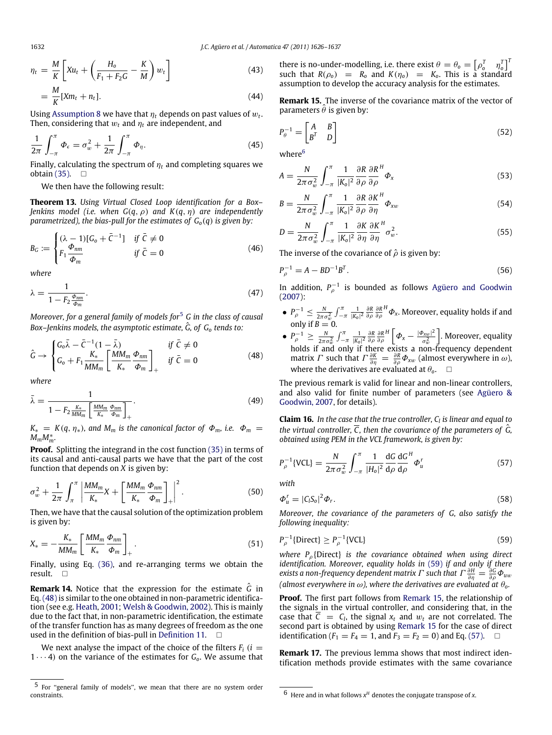$$
\eta_t = \frac{M}{K} \left[ Xu_t + \left( \frac{H_o}{F_1 + F_2 G} - \frac{K}{M} \right) w_t \right]
$$
\n
$$
= \frac{M}{K} [Xm_t + n_t]. \tag{44}
$$

Using [Assumption 8](#page-4-2) we have that  $\eta_t$  depends on past values of  $w_t.$ Then, considering that  $w_t$  and  $\eta_t$  are independent, and

$$
\frac{1}{2\pi} \int_{-\pi}^{\pi} \Phi_{\epsilon} = \sigma_w^2 + \frac{1}{2\pi} \int_{-\pi}^{\pi} \Phi_{\eta}.
$$
 (45)

Finally, calculating the spectrum of  $\eta_t$  and completing squares we obtain  $(35)$ .  $\Box$ 

<span id="page-6-6"></span>We then have the following result:

**Theorem 13.** *Using Virtual Closed Loop identification for a Box– Jenkins model (i.e. when G*(*q*, ρ) *and K*(*q*, η) *are independently parametrized), the bias-pull for the estimates of*  $G$ *<sup>* $o$ *</sup>* $(q)$  *<i>is given by:* 

$$
B_G := \begin{cases} (\lambda - 1)[G_0 + \bar{C}^{-1}] & \text{if } \bar{C} \neq 0 \\ F_1 \frac{\Phi_{nm}}{\Phi_m} & \text{if } \bar{C} = 0 \end{cases}
$$
(46)

*where*

$$
\lambda = \frac{1}{1 - F_2 \frac{\phi_{nm}}{\phi_m}}.\tag{47}
$$

*Moreover, for a general family of models for*[5](#page-6-0) *G in the class of causal* Box–Jenkins models, the asymptotic estimate,  $\hat{G}$ , of  $G_{o}$  tends to:

$$
\hat{G} \rightarrow \begin{cases} G_o \bar{\lambda} - \bar{C}^{-1} (1 - \bar{\lambda}) & \text{if } \bar{C} \neq 0 \\ G_o + F_1 \frac{K_*}{MM_m} \left[ \frac{MM_m}{K_*} \frac{\Phi_{nm}}{\Phi_m} \right]_+ & \text{if } \bar{C} = 0 \end{cases}
$$
(48)

*where*

$$
\bar{\lambda} = \frac{1}{1 - F_2 \frac{K_*}{MM_m} \left[ \frac{MM_m}{K_*} \frac{\Phi_{nm}}{\Phi_m} \right]_+}.
$$
\n(49)

 $K_* = K(q, \eta_*)$ , and  $M_m$  is the canonical factor of  $\Phi_m$ , i.e.  $\Phi_m =$ *<sup>M</sup>mM*<sup>∗</sup> *m .*

**Proof.** Splitting the integrand in the cost function [\(35\)](#page-5-4) in terms of its causal and anti-causal parts we have that the part of the cost function that depends on *X* is given by:

$$
\sigma_w^2 + \frac{1}{2\pi} \int_{\pi}^{\pi} \left| \frac{MM_m}{K_*} X + \left[ \frac{MM_m}{K_*} \frac{\Phi_{nm}}{\Phi_m} \right]_{+} \right|^2.
$$
 (50)

Then, we have that the causal solution of the optimization problem is given by:

$$
X_* = -\frac{K_*}{MM_m} \left[ \frac{MM_m}{K_*} \frac{\Phi_{nm}}{\Phi_m} \right]_+.
$$
 (51)

Finally, using Eq. [\(36\),](#page-5-5) and re-arranging terms we obtain the result.

**Remark 14.** Notice that the expression for the estimate  $\hat{G}$  in Eq. [\(48\)](#page-6-1) is similar to the one obtained in non-parametric identification (see e.g. [Heath,](#page-10-31) [2001;](#page-10-31) [Welsh](#page-10-32) [&](#page-10-32) [Goodwin,](#page-10-32) [2002\)](#page-10-32). This is mainly due to the fact that, in non-parametric identification, the estimate of the transfer function has as many degrees of freedom as the one used in the definition of bias-pull in [Definition 11.](#page-5-6)  $\square$ 

We next analyse the impact of the choice of the filters  $F_i$  ( $i =$  $1 \cdots 4$ ) on the variance of the estimates for  $G_0$ . We assume that there is no-under-modelling, i.e. there exist  $\theta = \theta_o = \begin{bmatrix} \rho_o^T & \eta_o^T \end{bmatrix}^T$ such that  $R(\rho_0) = R_0$  and  $K(\eta_0) = K_0$ . This is a standard assumption to develop the accuracy analysis for the estimates.

<span id="page-6-4"></span>**Remark 15.** The inverse of the covariance matrix of the vector of parameters  $\hat{\theta}$  is given by:

$$
P_{\theta}^{-1} = \begin{bmatrix} A & B \\ B^T & D \end{bmatrix} \tag{52}
$$

where<sup>[6](#page-6-2)</sup>

$$
A = \frac{N}{2\pi\sigma_w^2} \int_{-\pi}^{\pi} \frac{1}{|K_0|^2} \frac{\partial R}{\partial \rho} \frac{\partial R}{\partial \rho}^H \Phi_x \tag{53}
$$

$$
B = \frac{N}{2\pi\sigma_w^2} \int_{-\pi}^{\pi} \frac{1}{|K_0|^2} \frac{\partial R}{\partial \rho} \frac{\partial K}{\partial \eta}^H \Phi_{xw}
$$
(54)

$$
D = \frac{N}{2\pi\sigma_w^2} \int_{-\pi}^{\pi} \frac{1}{|K_0|^2} \frac{\partial K}{\partial \eta} \frac{\partial K}{\partial \eta}^H \sigma_w^2.
$$
 (55)

The inverse of the covariance of  $\hat{\rho}$  is given by:

$$
P_{\rho}^{-1} = A - BD^{-1}B^{T}.
$$
\n(56)

In addition,  $P_{\rho}^{-1}$  is bounded as follows [Agüero](#page-10-7) [and](#page-10-7) [Goodwin](#page-10-7) [\(2007\)](#page-10-7):

- $\bullet$   $P_{\rho}^{-1} \leq \frac{N}{2\pi\sigma_w^2} \int_{-\pi}^{\pi} \frac{1}{|K_0|^2} \frac{\partial R}{\partial \rho} \frac{\partial R}{\partial \rho}$  $^H\boldsymbol{\varPhi}_\mathsf{x}.$  Moreover, equality holds if and only if  $B = 0$ .
- <span id="page-6-1"></span> $\bullet$   $P_{\rho}^{-1} \ge \frac{N}{2\pi\sigma_w^2} \int_{-\pi}^{\pi} \frac{1}{|K_0|^2} \frac{\partial R}{\partial \rho} \frac{\partial R}{\partial \rho}$  $\int^H \left[ \phi_x - \frac{|\phi_{xw}|^2}{\sigma^2} \right]$  $\sigma^2_u$  . Moreover, equality holds if and only if there exists a non-frequency dependent matrix *Γ* such that  $\Gamma \frac{\partial K}{\partial \eta} = \frac{\partial R}{\partial \rho} \Phi_{\chi w}$  (almost everywhere in  $\omega$ ), where the derivatives are evaluated at  $\theta_o$ .  $\Box$

The previous remark is valid for linear and non-linear controllers, and also valid for finite number of parameters (see [Agüero](#page-10-7) [&](#page-10-7) [Goodwin,](#page-10-7) [2007,](#page-10-7) for details).

<span id="page-6-7"></span>**Claim 16.** *In the case that the true controller, C<sup>l</sup> is linear and equal to the virtual controller,*  $\overline{C}$ , then the covariance of the parameters of  $\hat{G}$ , *obtained using PEM in the VCL framework, is given by:*

<span id="page-6-5"></span>
$$
P_{\rho}^{-1}\{\text{VCL}\} = \frac{N}{2\pi\sigma_w^2} \int_{-\pi}^{\pi} \frac{1}{|H_o|^2} \frac{\mathrm{d}G}{\mathrm{d}\rho} \frac{\mathrm{d}G^H}{\mathrm{d}\rho} \Phi_u^r \tag{57}
$$

*with*

$$
\Phi_{u}^{r} = |C_{l}S_{o}|^{2}\Phi_{r}.
$$
\n(58)

*Moreover, the covariance of the parameters of G, also satisfy the following inequality:*

<span id="page-6-3"></span>
$$
P_{\rho}^{-1}\{\text{Direct}\} \ge P_{\rho}^{-1}\{\text{VCL}\}\tag{59}
$$

*where P*ρ{Direct} *is the covariance obtained when using direct identification. Moreover, equality holds in* [\(59\)](#page-6-3) *if and only if there exists a non-frequency dependent matrix*  $\Gamma$  such that  $\Gamma \frac{\partial H}{\partial \eta} = \frac{\partial G}{\partial \rho} \Phi_{uu}$ *(almost everywhere in*  $\omega$ ), where the derivatives are evaluated at  $\theta$ <sup>0</sup>.

**Proof.** The first part follows from [Remark 15,](#page-6-4) the relationship of the signals in the virtual controller, and considering that, in the case that  $\overline{C} = C_l$ , the signal  $x_t$  and  $w_t$  are not correlated. The second part is obtained by using [Remark 15](#page-6-4) for the case of direct identification ( $F_1 = F_4 = 1$ , and  $F_3 = F_2 = 0$ ) and Eq. [\(57\).](#page-6-5)  $\Box$ 

**Remark 17.** The previous lemma shows that most indirect identification methods provide estimates with the same covariance

<span id="page-6-0"></span><sup>5</sup> For ''general family of models'', we mean that there are no system order constraints.

<span id="page-6-2"></span><sup>6</sup> Here and in what follows *x <sup>H</sup>* denotes the conjugate transpose of *x*.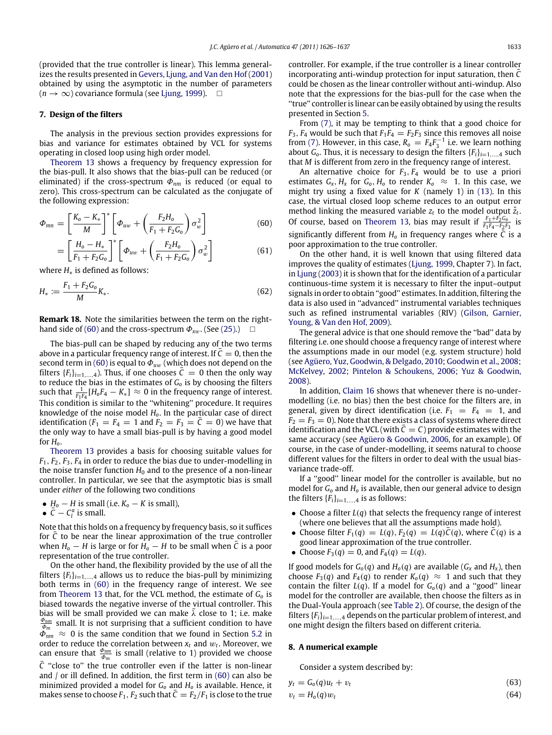<span id="page-7-2"></span>(61)

(provided that the true controller is linear). This lemma generalizes the results presented in [Gevers,](#page-10-33) [Ljung,](#page-10-33) [and](#page-10-33) [Van](#page-10-33) [den](#page-10-33) [Hof](#page-10-33) [\(2001\)](#page-10-33) obtained by using the asymptotic in the number of parameters  $(n \rightarrow \infty)$  covariance formula (see [Ljung,](#page-10-4) [1999\)](#page-10-4).  $\square$ 

#### <span id="page-7-0"></span>**7. Design of the filters**

The analysis in the previous section provides expressions for bias and variance for estimates obtained by VCL for systems operating in closed loop using high order model.

[Theorem 13](#page-6-6) shows a frequency by frequency expression for the bias-pull. It also shows that the bias-pull can be reduced (or eliminated) if the cross-spectrum Φ*nm* is reduced (or equal to zero). This cross-spectrum can be calculated as the conjugate of the following expression:

$$
\Phi_{mn} = \left[\frac{K_o - K_*}{M}\right]^* \left[\Phi_{uw} + \left(\frac{F_2 H_o}{F_1 + F_2 G_o}\right) \sigma_w^2\right]
$$
(60)

$$
= \left[\frac{H_o - H_*}{F_1 + F_2G_o}\right]^* \left[\varPhi_{uw} + \left(\frac{F_2H_o}{F_1 + F_2G_o}\right)\sigma_w^2\right]
$$

where *H*∗ is defined as follows:

$$
H_* := \frac{F_1 + F_2 G_0}{M} K_*.
$$
\n(62)

**Remark 18.** Note the similarities between the term on the right-hand side of [\(60\)](#page-7-2) and the cross-spectrum  $\Phi_{xw}$ . (See [\(25\).](#page-4-4))  $\Box$ 

The bias-pull can be shaped by reducing any of the two terms above in a particular frequency range of interest. If  $\bar{C}=0$ , then the second term in [\(60\)](#page-7-2) is equal to  $\Phi_{uw}$  (which does not depend on the filters  ${F_i}_{i=1,\dots,4}$ ). Thus, if one chooses  $\bar{C}=0$  then the only way to reduce the bias in the estimates of *G<sup>o</sup>* is by choosing the filters such that  $\frac{1}{F_1F_4}[H_0F_4 - K_*] \approx 0$  in the frequency range of interest. This condition is similar to the "whitening" procedure. It requires knowledge of the noise model *Ho*. In the particular case of direct identification ( $F_1 = F_4 = 1$  and  $F_2 = F_3 = C = 0$ ) we have that the only way to have a small bias-pull is by having a good model for *Ho*.

[Theorem 13](#page-6-6) provides a basis for choosing suitable values for *F*1, *F*2, *F*3, *F*<sup>4</sup> in order to reduce the bias due to under-modelling in the noise transfer function  $H_0$  and to the presence of a non-linear controller. In particular, we see that the asymptotic bias is small under *either* of the following two conditions

- *H<sup>o</sup>* − *H* is small (i.e. *K<sup>o</sup>* − *K* is small),
- $\overline{C} C_l^a$  is small.

Note that this holds on a frequency by frequency basis, so it suffices for  $\overline{C}$  to be near the linear approximation of the true controller when  $H_0 - H$  is large or for  $H_0 - H$  to be small when  $\overline{C}$  is a poor representation of the true controller.

On the other hand, the flexibility provided by the use of all the filters  ${F_i}_{i=1,\ldots,4}$  allows us to reduce the bias-pull by minimizing both terms in [\(60\)](#page-7-2) in the frequency range of interest. We see from [Theorem 13](#page-6-6) that, for the VCL method, the estimate of *G<sup>o</sup>* is biased towards the negative inverse of the virtual controller. This bias will be small provided we can make  $\bar{\lambda}$  close to 1; i.e. make  $\frac{\Phi_{nm}}{\Phi_m}$  small. It is not surprising that a sufficient condition to have  $\Phi_{nm} \approx 0$  is the same condition that we found in Section [5.2](#page-4-8) in order to reduce the correlation between  $x_t$  and  $w_t$ . Moreover, we can ensure that  $\frac{\Phi_{nm}}{\Phi_m}$  is small (relative to 1) provided we choose  $\overline{C}$  "close to" the true controller even if the latter is non-linear and / or ill defined. In addition, the first term in [\(60\)](#page-7-2) can also be minimized provided a model for *G<sup>o</sup>* and *H<sup>o</sup>* is available. Hence, it makes sense to choose  $F_1$ ,  $F_2$  such that  $C = F_2/F_1$  is close to the true controller. For example, if the true controller is a linear controller incorporating anti-windup protection for input saturation, then  $\bar{C}$ could be chosen as the linear controller without anti-windup. Also note that the expressions for the bias-pull for the case when the ''true'' controller is linear can be easily obtained by using the results presented in Section [5.](#page-4-0)

From [\(7\),](#page-2-7) it may be tempting to think that a good choice for  $F_3$ ,  $F_4$  would be such that  $F_1F_4 = F_2F_3$  since this removes all noise from [\(7\).](#page-2-7) However, in this case,  $R_0 = F_4 F_3^{-1}$  i.e. we learn nothing about  $G_0$ . Thus, it is necessary to design the filters  ${F_i}_{i=1,\ldots,4}$  such that *M* is different from zero in the frequency range of interest.

An alternative choice for *F*3, *F*<sup>4</sup> would be to use a priori estimates  $G_x$ ,  $H_x$  for  $G_0$ ,  $H_0$  to render  $K_0 \approx 1$ . In this case, we might try using a fixed value for *K* (namely 1) in [\(13\).](#page-3-2) In this case, the virtual closed loop scheme reduces to an output error method linking the measured variable  $z_t$  to the model output  $\hat{z}_t$ . Of course, based on [Theorem 13,](#page-6-6) bias may result if  $\frac{F_1 + F_2 C_0}{F_1 F_4 - F_2 F_3}$  is significantly different from  $H_0$  in frequency ranges where  $\overline{C}$  is a poor approximation to the true controller.

On the other hand, it is well known that using filtered data improves the quality of estimates [\(Ljung,](#page-10-4) [1999,](#page-10-4) Chapter 7). In fact, in [Ljung](#page-10-34) [\(2003\)](#page-10-34) it is shown that for the identification of a particular continuous-time system it is necessary to filter the input–output signals in order to obtain ''good'' estimates. In addition, filtering the data is also used in ''advanced'' instrumental variables techniques such as refined instrumental variables (RIV) [\(Gilson,](#page-10-35) [Garnier,](#page-10-35) [Young,](#page-10-35) [&](#page-10-35) [Van](#page-10-35) [den](#page-10-35) [Hof,](#page-10-35) [2009\)](#page-10-35).

The general advice is that one should remove the ''bad'' data by filtering i.e. one should choose a frequency range of interest where the assumptions made in our model (e.g. system structure) hold (see [Agüero,](#page-10-36) [Yuz,](#page-10-36) [Goodwin,](#page-10-36) [&](#page-10-36) [Delgado,](#page-10-36) [2010;](#page-10-36) [Goodwin](#page-10-21) [et al.,](#page-10-21) [2008;](#page-10-21) [McKelvey,](#page-10-37) [2002;](#page-10-37) [Pintelon](#page-10-38) [&](#page-10-38) [Schoukens,](#page-10-38) [2006;](#page-10-38) [Yuz](#page-10-39) [&](#page-10-39) [Goodwin,](#page-10-39) [2008\)](#page-10-39).

In addition, [Claim 16](#page-6-7) shows that whenever there is no-undermodelling (i.e. no bias) then the best choice for the filters are, in general, given by direct identification (i.e.  $F_1 = F_4 = 1$ , and  $F_2 = F_3 = 0$ ). Note that there exists a class of systems where direct identification and the VCL (with  $\bar{C} = C$ ) provide estimates with the same accuracy (see [Agüero](#page-10-40) [&](#page-10-40) [Goodwin,](#page-10-40) [2006,](#page-10-40) for an example). Of course, in the case of under-modelling, it seems natural to choose different values for the filters in order to deal with the usual biasvariance trade-off.

If a ''good'' linear model for the controller is available, but no model for *G<sup>o</sup>* and *H<sup>o</sup>* is available, then our general advice to design the filters  ${F_i}_{i=1,\ldots,4}$  is as follows:

- Choose a filter *L*(*q*) that selects the frequency range of interest (where one believes that all the assumptions made hold).
- Choose filter  $F_1(q) = L(q)$ ,  $F_2(q) = L(q)C(q)$ , where  $C(q)$  is a good linear approximation of the true controller.
- Choose  $F_3(q) = 0$ , and  $F_4(q) = L(q)$ .

If good models for  $G_0(q)$  and  $H_0(q)$  are available ( $G_x$  and  $H_x$ ), then choose  $F_3(q)$  and  $F_4(q)$  to render  $K_0(q) \approx 1$  and such that they contain the filter  $L(q)$ . If a model for  $G<sub>o</sub>(q)$  and a "good" linear model for the controller are available, then choose the filters as in the Dual-Youla approach (see [Table 2\)](#page-3-6). Of course, the design of the filters  ${F_i}_{i=1,\ldots,4}$  depends on the particular problem of interest, and one might design the filters based on different criteria.

#### <span id="page-7-1"></span>**8. A numerical example**

Consider a system described by:

$$
y_t = G_o(q)u_t + v_t \tag{63}
$$

$$
v_t = H_o(q)w_t \tag{64}
$$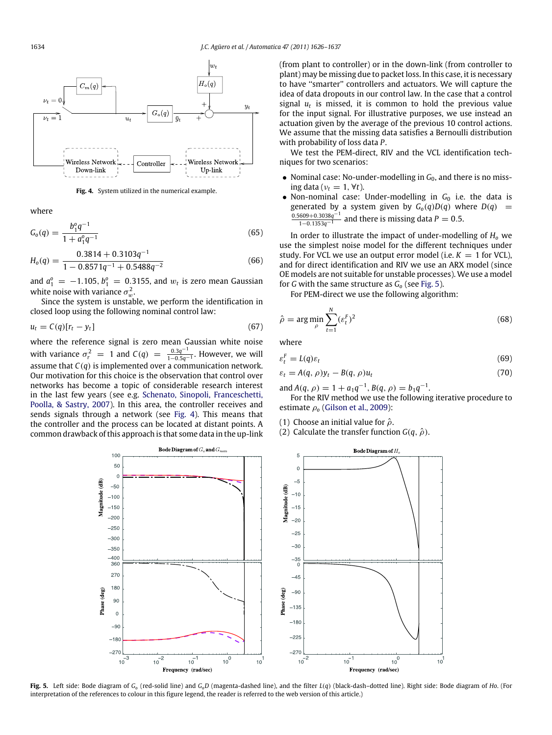<span id="page-8-0"></span>

**Fig. 4.** System utilized in the numerical example.

where

$$
G_o(q) = \frac{b_1^o q^{-1}}{1 + a_1^o q^{-1}}
$$
\n(65)

$$
H_o(q) = \frac{0.3814 + 0.3103q^{-1}}{1 - 0.8571q^{-1} + 0.5488q^{-2}}
$$
(66)

and  $a_1^o = -1.105$ ,  $b_1^o = 0.3155$ , and  $w_t$  is zero mean Gaussian white noise with variance  $\sigma_w^2$ .

Since the system is unstable, we perform the identification in closed loop using the following nominal control law:

$$
u_t = C(q)[r_t - y_t]
$$
\n(67)

where the reference signal is zero mean Gaussian white noise with variance  $\sigma_r^2 = 1$  and  $C(q) = \frac{0.3q^{-1}}{1 - 0.5q^{-1}}$ <sup>1</sup>−0.5*q*−<sup>1</sup> . However, we will assume that *C*(*q*) is implemented over a communication network. Our motivation for this choice is the observation that control over networks has become a topic of considerable research interest in the last few years (see e.g. [Schenato,](#page-10-41) [Sinopoli,](#page-10-41) [Franceschetti,](#page-10-41) [Poolla,](#page-10-41) [&](#page-10-41) [Sastry,](#page-10-41) [2007\)](#page-10-41). In this area, the controller receives and sends signals through a network (see [Fig. 4\)](#page-8-0). This means that the controller and the process can be located at distant points. A common drawback of this approach is that some data in the up-link (from plant to controller) or in the down-link (from controller to plant) may be missing due to packet loss. In this case, it is necessary to have ''smarter'' controllers and actuators. We will capture the idea of data dropouts in our control law. In the case that a control signal  $u_t$  is missed, it is common to hold the previous value for the input signal. For illustrative purposes, we use instead an actuation given by the average of the previous 10 control actions. We assume that the missing data satisfies a Bernoulli distribution with probability of loss data *P*.

We test the PEM-direct, RIV and the VCL identification techniques for two scenarios:

- Nominal case: No-under-modelling in  $G_0$ , and there is no missing data ( $v_t = 1$ ,  $\forall t$ ).
- Non-nominal case: Under-modelling in G<sub>0</sub> i.e. the data is generated by a system given by *G*<sub>*o*</sub>(*q*)*D*(*q*) where *D*(*q*) =  $\frac{0.5609 + 0.3038q^{-1}}{1 - 0.1353q^{-1}}$  and there is missing data *P* = 0.5.

In order to illustrate the impact of under-modelling of *H<sup>o</sup>* we use the simplest noise model for the different techniques under study. For VCL we use an output error model (i.e.  $K = 1$  for VCL), and for direct identification and RIV we use an ARX model (since OE models are not suitable for unstable processes). We use a model for *G* with the same structure as *G<sup>o</sup>* (see [Fig. 5\)](#page-8-1).

For PEM-direct we use the following algorithm:

$$
\hat{\rho} = \arg\min_{\rho} \sum_{t=1}^{N} (\varepsilon_t^F)^2
$$
\n(68)

where

$$
\varepsilon_t^F = L(q)\varepsilon_t \tag{69}
$$

$$
\varepsilon_t = A(q, \rho)y_t - B(q, \rho)u_t \tag{70}
$$

and  $A(q, \rho) = 1 + a_1 q^{-1}, B(q, \rho) = b_1 q^{-1}.$ 

For the RIV method we use the following iterative procedure to estimate ρ*<sup>o</sup>* [\(Gilson](#page-10-35) [et al.,](#page-10-35) [2009\)](#page-10-35):

(1) Choose an initial value for  $\hat{\rho}$ .

(2) Calculate the transfer function  $G(q, \hat{\rho})$ .

<span id="page-8-1"></span>

Fig. 5. Left side: Bode diagram of  $G_0$  (red-solid line) and  $G_0D$  (magenta-dashed line), and the filter  $L(q)$  (black-dash-dotted line). Right side: Bode diagram of Ho. (For interpretation of the references to colour in this figure legend, the reader is referred to the web version of this article.)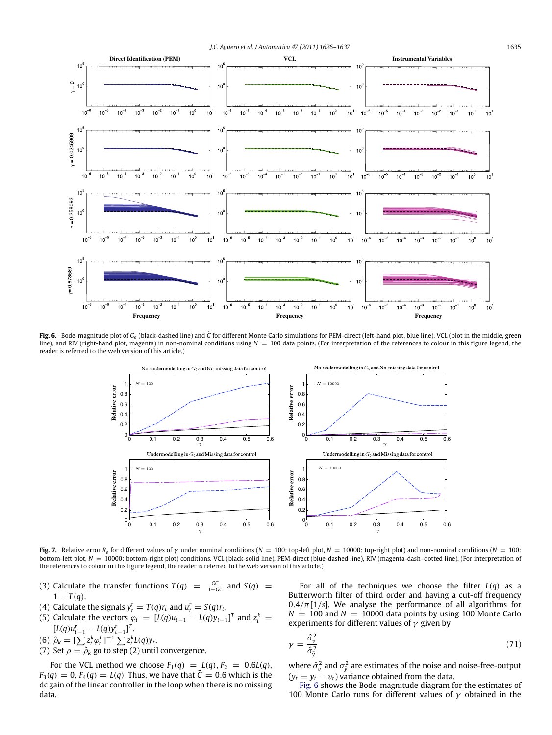*J.C. Agüero et al. / Automatica 47 (2011) 1626–1637* 1635

<span id="page-9-0"></span>

<span id="page-9-1"></span>**Fig. 6.** Bode-magnitude plot of *<sup>G</sup><sup>o</sup>* (black-dashed line) and *<sup>G</sup>*ˆ for different Monte Carlo simulations for PEM-direct (left-hand plot, blue line), VCL (plot in the middle, green line), and RIV (right-hand plot, magenta) in non-nominal conditions using *N* = 100 data points. (For interpretation of the references to colour in this figure legend, the reader is referred to the web version of this article.)



**Fig. 7.** Relative error  $R_e$  for different values of  $\gamma$  under nominal conditions (*N* = 100: top-left plot, *N* = 1000: top-right plot) and non-nominal conditions (*N* = 100: bottom-left plot,  $N = 10000$ : bottom-right plot) conditions. VCL (black-solid line), PEM-direct (blue-dashed line), RIV (magenta-dash-dotted line). (For interpretation of the references to colour in this figure legend, the reader is referred to the web version of this article.)

- (3) Calculate the transfer functions  $T(q) = \frac{GC}{1+GC}$  and  $S(q) =$  $1 - T(q)$ .
- (4) Calculate the signals  $y_t^r = T(q)r_t$  and  $u_t^r = S(q)r_t$ .
- (5) Calculate the vectors  $\varphi_t = [L(q)u_{t-1} L(q)y_{t-1}]^T$  and  $z_t^k =$  $[L(q)u_{t-1}^r - L(q)y_{t-1}^r]^T$ .
- (6)  $\hat{\rho}_k = [\sum z_t^k \varphi_t^T]^{-1} \sum z_t^k L(q) y_t.$
- (7) Set  $\rho = \hat{\rho}_k$  go to step (2) until convergence.
- For the VCL method we choose  $F_1(q) = L(q), F_2 = 0.6L(q)$ ,  $F_3(q) = 0, F_4(q) = L(q)$ . Thus, we have that  $\bar{C} = 0.6$  which is the dc gain of the linear controller in the loop when there is no missing data.

For all of the techniques we choose the filter *L*(*q*) as a Butterworth filter of third order and having a cut-off frequency  $0.4/\pi$ [1/s]. We analyse the performance of all algorithms for  $N = 100$  and  $N = 10000$  data points by using 100 Monte Carlo experiments for different values of  $\gamma$  given by

$$
\gamma = \frac{\hat{\sigma}_v^2}{\hat{\sigma}_y^2} \tag{71}
$$

where  $\hat{\sigma}_{v}^{2}$  and  $\sigma_{\bar{y}}^{2}$  are estimates of the noise and noise-free-output  $(\bar{y}_t = y_t - v_t)$  variance obtained from the data.

[Fig. 6](#page-9-0) shows the Bode-magnitude diagram for the estimates of 100 Monte Carlo runs for different values of  $\gamma$  obtained in the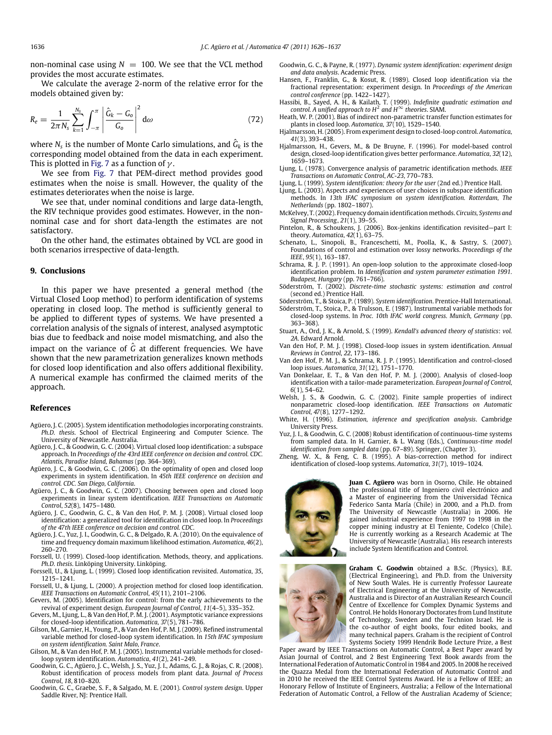non-nominal case using  $N = 100$ . We see that the VCL method provides the most accurate estimates.

We calculate the average 2-norm of the relative error for the models obtained given by:

$$
R_e = \frac{1}{2\pi N_s} \sum_{k=1}^{N_s} \int_{-\pi}^{\pi} \left| \frac{\hat{G}_k - G_o}{G_o} \right|^2 d\omega
$$
 (72)

where  $N_{\scriptscriptstyle\rm S}$  is the number of Monte Carlo simulations, and  $\hat G_k$  is the corresponding model obtained from the data in each experiment. This is plotted in [Fig. 7](#page-9-1) as a function of  $\gamma$ .

We see from [Fig. 7](#page-9-1) that PEM-direct method provides good estimates when the noise is small. However, the quality of the estimates deteriorates when the noise is large.

We see that, under nominal conditions and large data-length, the RIV technique provides good estimates. However, in the nonnominal case and for short data-length the estimates are not satisfactory.

On the other hand, the estimates obtained by VCL are good in both scenarios irrespective of data-length.

#### <span id="page-10-23"></span>**9. Conclusions**

In this paper we have presented a general method (the Virtual Closed Loop method) to perform identification of systems operating in closed loop. The method is sufficiently general to be applied to different types of systems. We have presented a correlation analysis of the signals of interest, analysed asymptotic bias due to feedback and noise model mismatching, and also the impact on the variance of *<sup>G</sup>*ˆ at different frequencies. We have shown that the new parametrization generalizes known methods for closed loop identification and also offers additional flexibility. A numerical example has confirmed the claimed merits of the approach.

#### **References**

- <span id="page-10-19"></span>Agüero, J. C. (2005). System identification methodologies incorporating constraints. *Ph.D. thesis*. School of Electrical Engineering and Computer Science. The University of Newcastle. Australia.
- <span id="page-10-20"></span>Agüero, J. C., & Goodwin, G. C. (2004). Virtual closed loop identification: a subspace approach. In *Proceedings of the 43rd IEEE conference on decision and control. CDC. Atlantis, Paradise Island, Bahamas* (pp. 364–369).
- <span id="page-10-40"></span>Agüero, J. C., & Goodwin, G. C. (2006). On the optimality of open and closed loop experiments in system identification. In *45th IEEE conference on decision and control. CDC. San Diego, California*.
- <span id="page-10-7"></span>Agüero, J. C., & Goodwin, G. C. (2007). Choosing between open and closed loop experiments in linear system identification. *IEEE Transactions on Automatic Control*, *52*(8), 1475–1480.
- <span id="page-10-22"></span>Agüero, J. C., Goodwin, G. C., & Van den Hof, P. M. J. (2008). Virtual closed loop identification: a generalized tool for identification in closed loop. In *Proceedings of the 47th IEEE conference on decision and control. CDC*.
- <span id="page-10-36"></span>Agüero, J. C., Yuz, J. I., Goodwin, G. C., & Delgado, R. A. (2010). On the equivalence of time and frequency domain maximum likelihood estimation. *Automatica*, *46*(2), 260–270.
- <span id="page-10-27"></span>Forssell, U. (1999). Closed-loop identification. Methods, theory, and applications. *Ph.D. thesis*. Linköping University. Linköping.
- <span id="page-10-2"></span>Forssell, U., & Ljung, L. (1999). Closed loop identification revisited. *Automatica*, *35*, 1215–1241.
- <span id="page-10-16"></span>Forssell, U., & Ljung, L. (2000). A projection method for closed loop identification. *IEEE Transactions on Automatic Control*, *45*(11), 2101–2106.
- <span id="page-10-8"></span>Gevers, M. (2005). Identification for control: from the early achievements to the revival of experiment design. *European Journal of Control*, *11*(4–5), 335–352.
- <span id="page-10-33"></span>Gevers, M., Ljung, L., & Van den Hof, P. M. J. (2001). Asymptotic variance expressions for closed-loop identification. *Automatica*, *37*(5), 781–786.
- <span id="page-10-35"></span>Gilson, M., Garnier, H., Young, P., & Van den Hof, P. M. J. (2009). Refined instrumental variable method for closed-loop system identification. In *15th IFAC symposium on system identification. Saint Malo, France*.
- <span id="page-10-17"></span>Gilson, M., & Van den Hof, P. M. J. (2005). Instrumental variable methods for closedloop system identification. *Automatica*, *41*(2), 241–249.
- <span id="page-10-21"></span>Goodwin, G. C., Agüero, J. C., Welsh, J. S., Yuz, J. I., Adams, G. J., & Rojas, C. R. (2008). Robust identification of process models from plant data. *Journal of Process Control*, *18*, 810–820.
- <span id="page-10-24"></span>Goodwin, G. C., Graebe, S. F., & Salgado, M. E. (2001). *Control system design*. Upper Saddle River, NJ: Prentice Hall.
- <span id="page-10-3"></span>Goodwin, G. C., & Payne, R. (1977). *Dynamic system identification: experiment design and data analysis*. Academic Press.
- <span id="page-10-12"></span>Hansen, F., Franklin, G., & Kosut, R. (1989). Closed loop identification via the fractional representation: experiment design. In *Proceedings of the American control conference* (pp. 1422–1427).
- <span id="page-10-30"></span>Hassibi, B., Sayed, A. H., & Kailath, T. (1999). *Indefinite quadratic estimation and control. A unified approach to H*<sup>2</sup> *and H*<sup>∞</sup> *theories*. SIAM.
- <span id="page-10-31"></span>Heath, W. P. (2001). Bias of indirect non-parametric transfer function estimates for plants in closed loop. *Automatica*, *37*(10), 1529–1540.
- <span id="page-10-9"></span>Hjalmarsson, H. (2005). From experiment design to closed-loop control. *Automatica*, *41*(3), 393–438.
- <span id="page-10-10"></span>Hjalmarsson, H., Gevers, M., & De Bruyne, F. (1996). For model-based control design, closed-loop identification gives better performance. *Automatica*, *32*(12), 1659–1673.
- <span id="page-10-25"></span>Ljung, L. (1978). Convergence analysis of parametric identification methods. *IEEE Transactions on Automatic Control*, *AC-23*, 770–783.
- <span id="page-10-4"></span>Ljung, L. (1999). *System identification: theory for the user* (2nd ed.) Prentice Hall.
- <span id="page-10-34"></span>Ljung, L. (2003). Aspects and experiences of user choices in subspace identification methods. In *13th IFAC symposium on system identification. Rotterdam, The Netherlands* (pp. 1802–1807).
- <span id="page-10-37"></span>McKelvey, T. (2002). Frequency domain identification methods. *Circuits, Systems and Signal Processing*, *21*(1), 39–55.
- <span id="page-10-38"></span>Pintelon, R., & Schoukens, J. (2006). Box-jenkins identification revisited—part I: theory. *Automatica*, *42*(1), 63–75.
- <span id="page-10-41"></span>Schenato, L., Sinopoli, B., Franceschetti, M., Poolla, K., & Sastry, S. (2007). Foundations of control and estimation over lossy networks. *Proceedings of the IEEE*, *95*(1), 163–187.
- <span id="page-10-13"></span>Schrama, R. J. P. (1991). An open-loop solution to the approximate closed-loop identification problem. In *Identification and system parameter estimation 1991. Budapest, Hungary* (pp. 761–766).
- <span id="page-10-28"></span>Söderström, T. (2002). *Discrete-time stochastic systems: estimation and control* (second ed.) Prentice Hall.
- <span id="page-10-18"></span><span id="page-10-5"></span>Söderström, T., & Stoica, P. (1989). *System identification*. Prentice-Hall International. Söderström, T., Stoica, P., & Trulsson, E. (1987). Instrumental variable methods for closed-loop systems. In *Proc. 10th IFAC world congress. Munich, Germany* (pp. 363–368).
- <span id="page-10-29"></span>Stuart, A., Ord, J. K., & Arnold, S. (1999). *Kendall's advanced theory of statistics*: *vol. 2A*. Edward Arnold.
- <span id="page-10-6"></span>Van den Hof, P. M. J. (1998). Closed-loop issues in system identification. *Annual Reviews in Control*, *22*, 173–186.
- <span id="page-10-11"></span>Van den Hof, P. M. J., & Schrama, R. J. P. (1995). Identification and control-closed loop issues. *Automatica*, *31*(12), 1751–1770.
- <span id="page-10-14"></span>Van Donkelaar, E. T., & Van den Hof, P. M. J. (2000). Analysis of closed-loop identification with a tailor-made parameterization. *European Journal of Control*, *6*(1), 54–62.
- <span id="page-10-32"></span>Welsh, J. S., & Goodwin, G. C. (2002). Finite sample properties of indirect nonparametric closed-loop identification. *IEEE Transactions on Automatic Control*, *47*(8), 1277–1292.
- <span id="page-10-26"></span>White, H. (1996). *Estimation, inference and specification analysis*. Cambridge University Press.
- <span id="page-10-39"></span>Yuz, J. I., & Goodwin, G. C. (2008) Robust identification of continuous-time systems from sampled data. In H. Garnier, & L. Wang (Eds.), *Continuous-time model identification from sampled data* (pp. 67–89). Springer, (Chapter 3).
- <span id="page-10-15"></span>Zheng, W. X., & Feng, C. B. (1995). A bias-correction method for indirect identification of closed-loop systems. *Automatica*, *31*(7), 1019–1024.



<span id="page-10-0"></span>**Juan C. Agüero** was born in Osorno, Chile. He obtained the professional title of Ingeniero civil electrónico and a Master of engineering from the Universidad Técnica Federico Santa María (Chile) in 2000, and a Ph.D. from The University of Newcastle (Australia) in 2006. He gained industrial experience from 1997 to 1998 in the copper mining industry at El Teniente, Codelco (Chile). He is currently working as a Research Academic at The University of Newcastle (Australia). His research interests include System Identification and Control.



<span id="page-10-1"></span>**Graham C. Goodwin** obtained a B.Sc. (Physics), B.E. (Electrical Engineering), and Ph.D. from the University of New South Wales. He is currently Professor Laureate of Electrical Engineering at the University of Newcastle, Australia and is Director of an Australian Research Council Centre of Excellence for Complex Dynamic Systems and Control. He holds Honorary Doctorates from Lund Institute of Technology, Sweden and the Technion Israel. He is the co-author of eight books, four edited books, and many technical papers. Graham is the recipient of Control Systems Society 1999 Hendrik Bode Lecture Prize, a Best

Paper award by IEEE Transactions on Automatic Control, a Best Paper award by Asian Journal of Control, and 2 Best Engineering Text Book awards from the International Federation of Automatic Control in 1984 and 2005. In 2008 he received the Quazza Medal from the International Federation of Automatic Control and in 2010 he received the IEEE Control Systems Award. He is a Fellow of IEEE; an Honorary Fellow of Institute of Engineers, Australia; a Fellow of the International Federation of Automatic Control, a Fellow of the Australian Academy of Science;